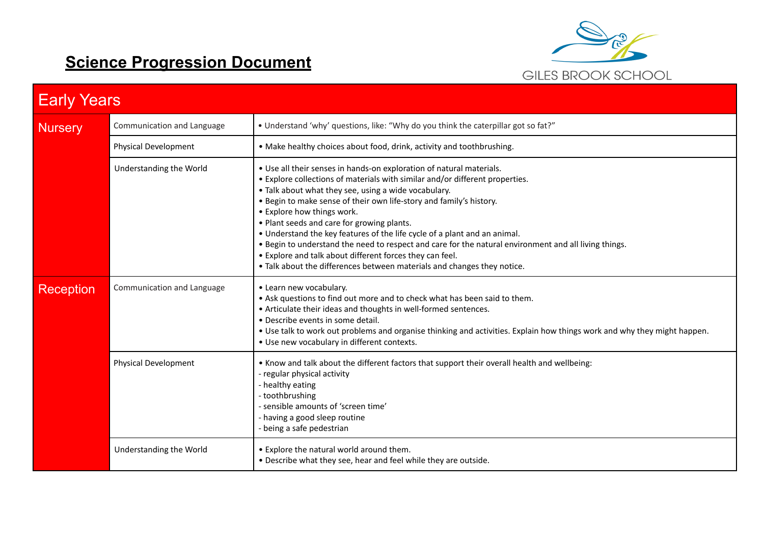## **Science Progression Document**



| <b>Early Years</b> |                            |                                                                                                                                                                                                                                                                                                                                                                                                                                                                                                                                                                                                                                                                                              |
|--------------------|----------------------------|----------------------------------------------------------------------------------------------------------------------------------------------------------------------------------------------------------------------------------------------------------------------------------------------------------------------------------------------------------------------------------------------------------------------------------------------------------------------------------------------------------------------------------------------------------------------------------------------------------------------------------------------------------------------------------------------|
| <b>Nursery</b>     | Communication and Language | • Understand 'why' questions, like: "Why do you think the caterpillar got so fat?"                                                                                                                                                                                                                                                                                                                                                                                                                                                                                                                                                                                                           |
|                    | Physical Development       | • Make healthy choices about food, drink, activity and toothbrushing.                                                                                                                                                                                                                                                                                                                                                                                                                                                                                                                                                                                                                        |
|                    | Understanding the World    | . Use all their senses in hands-on exploration of natural materials.<br>• Explore collections of materials with similar and/or different properties.<br>• Talk about what they see, using a wide vocabulary.<br>. Begin to make sense of their own life-story and family's history.<br>• Explore how things work.<br>. Plant seeds and care for growing plants.<br>• Understand the key features of the life cycle of a plant and an animal.<br>. Begin to understand the need to respect and care for the natural environment and all living things.<br>• Explore and talk about different forces they can feel.<br>. Talk about the differences between materials and changes they notice. |
| <b>Reception</b>   | Communication and Language | • Learn new vocabulary.<br>• Ask questions to find out more and to check what has been said to them.<br>• Articulate their ideas and thoughts in well-formed sentences.<br>• Describe events in some detail.<br>. Use talk to work out problems and organise thinking and activities. Explain how things work and why they might happen.<br>. Use new vocabulary in different contexts.                                                                                                                                                                                                                                                                                                      |
|                    | Physical Development       | . Know and talk about the different factors that support their overall health and wellbeing:<br>- regular physical activity<br>- healthy eating<br>- toothbrushing<br>- sensible amounts of 'screen time'<br>- having a good sleep routine<br>- being a safe pedestrian                                                                                                                                                                                                                                                                                                                                                                                                                      |
|                    | Understanding the World    | • Explore the natural world around them.<br>. Describe what they see, hear and feel while they are outside.                                                                                                                                                                                                                                                                                                                                                                                                                                                                                                                                                                                  |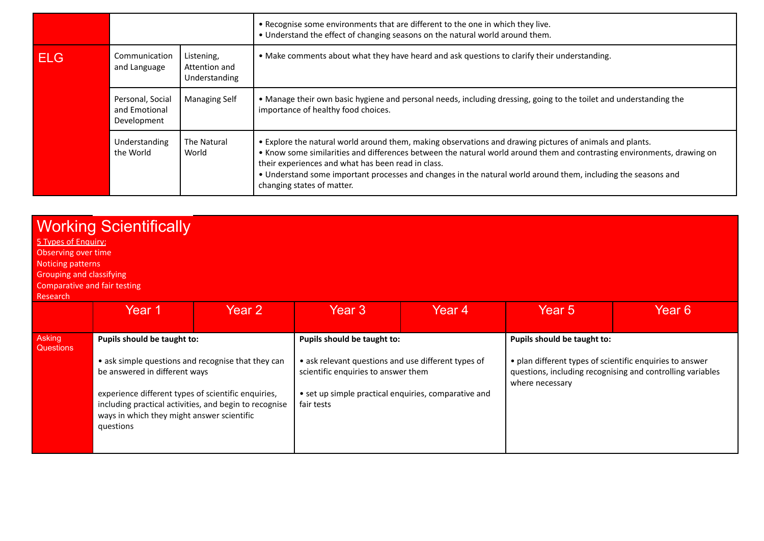|            |                                                  |                                              | . Recognise some environments that are different to the one in which they live.<br>. Understand the effect of changing seasons on the natural world around them.                                                                                                                                                                                                                                                                         |
|------------|--------------------------------------------------|----------------------------------------------|------------------------------------------------------------------------------------------------------------------------------------------------------------------------------------------------------------------------------------------------------------------------------------------------------------------------------------------------------------------------------------------------------------------------------------------|
| <b>ELG</b> | Communication<br>and Language                    | Listening,<br>Attention and<br>Understanding | . Make comments about what they have heard and ask questions to clarify their understanding.                                                                                                                                                                                                                                                                                                                                             |
|            | Personal, Social<br>and Emotional<br>Development | <b>Managing Self</b>                         | • Manage their own basic hygiene and personal needs, including dressing, going to the toilet and understanding the<br>importance of healthy food choices.                                                                                                                                                                                                                                                                                |
|            | Understanding<br>the World                       | The Natural<br>World                         | • Explore the natural world around them, making observations and drawing pictures of animals and plants.<br>• Know some similarities and differences between the natural world around them and contrasting environments, drawing on<br>their experiences and what has been read in class.<br>• Understand some important processes and changes in the natural world around them, including the seasons and<br>changing states of matter. |

| 5 Types of Enguiry:<br>Observing over time<br>Noticing patterns<br><b>Grouping and classifying</b><br>Comparative and fair testing<br>Research | <b>Working Scientifically</b>                                                                                                                                                                                                                                                                  |        |                                                                                                                                                                                                 |        |                                                                                                            |                                                            |
|------------------------------------------------------------------------------------------------------------------------------------------------|------------------------------------------------------------------------------------------------------------------------------------------------------------------------------------------------------------------------------------------------------------------------------------------------|--------|-------------------------------------------------------------------------------------------------------------------------------------------------------------------------------------------------|--------|------------------------------------------------------------------------------------------------------------|------------------------------------------------------------|
|                                                                                                                                                | Year 1                                                                                                                                                                                                                                                                                         | Year 2 | Year <sub>3</sub>                                                                                                                                                                               | Year 4 | Year 5                                                                                                     | Year 6                                                     |
| Asking<br><b>Questions</b>                                                                                                                     | Pupils should be taught to:<br>• ask simple questions and recognise that they can<br>be answered in different ways<br>experience different types of scientific enquiries,<br>including practical activities, and begin to recognise<br>ways in which they might answer scientific<br>questions |        | Pupils should be taught to:<br>• ask relevant questions and use different types of<br>scientific enquiries to answer them<br>• set up simple practical enquiries, comparative and<br>fair tests |        | Pupils should be taught to:<br>• plan different types of scientific enquiries to answer<br>where necessary | questions, including recognising and controlling variables |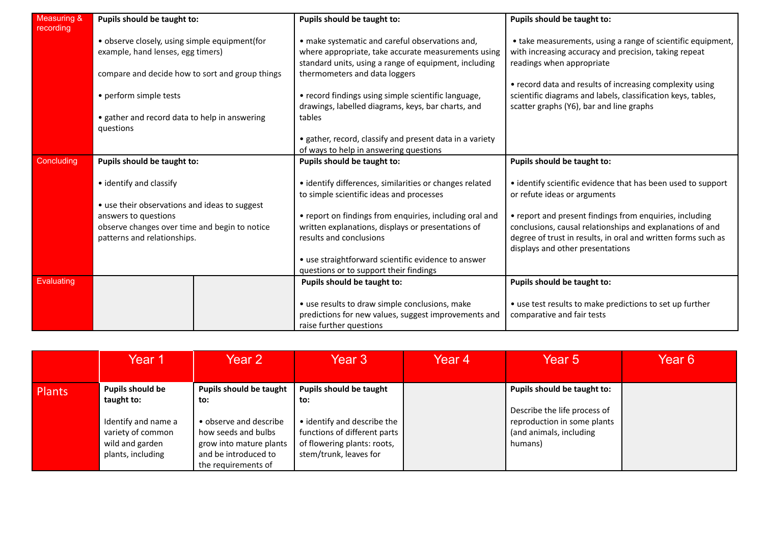| Measuring &<br>recording | Pupils should be taught to:                                                                                                           |  | Pupils should be taught to:                                                                                                                                                                      | Pupils should be taught to:                                                                                                                                          |
|--------------------------|---------------------------------------------------------------------------------------------------------------------------------------|--|--------------------------------------------------------------------------------------------------------------------------------------------------------------------------------------------------|----------------------------------------------------------------------------------------------------------------------------------------------------------------------|
|                          | • observe closely, using simple equipment(for<br>example, hand lenses, egg timers)<br>compare and decide how to sort and group things |  | • make systematic and careful observations and,<br>where appropriate, take accurate measurements using<br>standard units, using a range of equipment, including<br>thermometers and data loggers | • take measurements, using a range of scientific equipment,<br>with increasing accuracy and precision, taking repeat<br>readings when appropriate                    |
|                          | • perform simple tests<br>• gather and record data to help in answering                                                               |  | • record findings using simple scientific language,<br>drawings, labelled diagrams, keys, bar charts, and<br>tables                                                                              | • record data and results of increasing complexity using<br>scientific diagrams and labels, classification keys, tables,<br>scatter graphs (Y6), bar and line graphs |
|                          | questions                                                                                                                             |  | • gather, record, classify and present data in a variety                                                                                                                                         |                                                                                                                                                                      |
|                          |                                                                                                                                       |  | of ways to help in answering questions                                                                                                                                                           |                                                                                                                                                                      |
| Concluding               | Pupils should be taught to:                                                                                                           |  | Pupils should be taught to:                                                                                                                                                                      | Pupils should be taught to:                                                                                                                                          |
|                          |                                                                                                                                       |  |                                                                                                                                                                                                  |                                                                                                                                                                      |
|                          | • identify and classify                                                                                                               |  | • identify differences, similarities or changes related                                                                                                                                          | • identify scientific evidence that has been used to support                                                                                                         |
|                          |                                                                                                                                       |  | to simple scientific ideas and processes                                                                                                                                                         | or refute ideas or arguments                                                                                                                                         |
|                          | • use their observations and ideas to suggest                                                                                         |  |                                                                                                                                                                                                  |                                                                                                                                                                      |
|                          | answers to questions                                                                                                                  |  | • report on findings from enquiries, including oral and                                                                                                                                          | • report and present findings from enquiries, including                                                                                                              |
|                          | observe changes over time and begin to notice                                                                                         |  | written explanations, displays or presentations of                                                                                                                                               | conclusions, causal relationships and explanations of and                                                                                                            |
|                          | patterns and relationships.                                                                                                           |  | results and conclusions                                                                                                                                                                          | degree of trust in results, in oral and written forms such as<br>displays and other presentations                                                                    |
|                          |                                                                                                                                       |  | • use straightforward scientific evidence to answer                                                                                                                                              |                                                                                                                                                                      |
|                          |                                                                                                                                       |  | questions or to support their findings                                                                                                                                                           |                                                                                                                                                                      |
| Evaluating               |                                                                                                                                       |  | Pupils should be taught to:                                                                                                                                                                      | Pupils should be taught to:                                                                                                                                          |
|                          |                                                                                                                                       |  | • use results to draw simple conclusions, make<br>predictions for new values, suggest improvements and<br>raise further questions                                                                | • use test results to make predictions to set up further<br>comparative and fair tests                                                                               |

|               | Year 1                                                                           | Year 2                                                                                                                  | Year 3                                                                                                               | Year 4 | Year 5                                                                                            | Year 6 |
|---------------|----------------------------------------------------------------------------------|-------------------------------------------------------------------------------------------------------------------------|----------------------------------------------------------------------------------------------------------------------|--------|---------------------------------------------------------------------------------------------------|--------|
| <b>Plants</b> | <b>Pupils should be</b><br>taught to:                                            | <b>Pupils should be taught</b><br>to:                                                                                   | <b>Pupils should be taught</b><br>to:                                                                                |        | Pupils should be taught to:                                                                       |        |
|               | Identify and name a<br>variety of common<br>wild and garden<br>plants, including | • observe and describe<br>how seeds and bulbs<br>grow into mature plants<br>and be introduced to<br>the requirements of | • identify and describe the<br>functions of different parts<br>of flowering plants: roots,<br>stem/trunk, leaves for |        | Describe the life process of<br>reproduction in some plants<br>(and animals, including<br>humans) |        |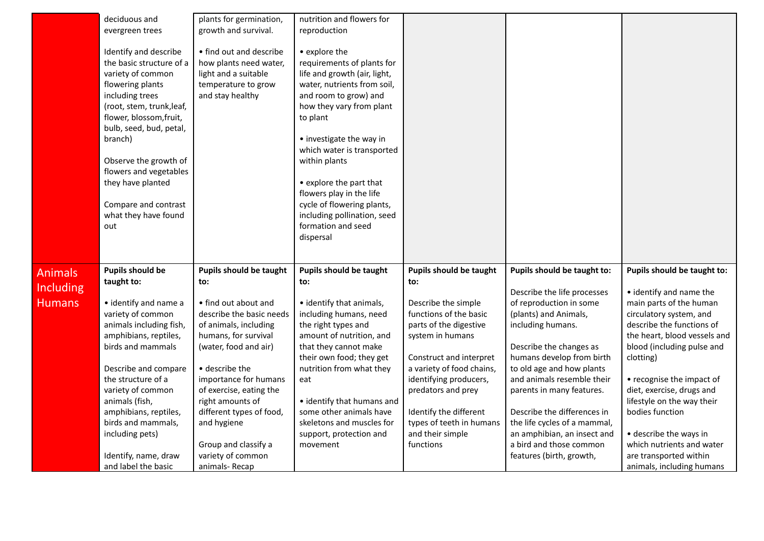|                  | deciduous and             | plants for germination,        | nutrition and flowers for      |                                |                              |                              |
|------------------|---------------------------|--------------------------------|--------------------------------|--------------------------------|------------------------------|------------------------------|
|                  | evergreen trees           | growth and survival.           | reproduction                   |                                |                              |                              |
|                  |                           |                                |                                |                                |                              |                              |
|                  | Identify and describe     | • find out and describe        | • explore the                  |                                |                              |                              |
|                  | the basic structure of a  | how plants need water,         | requirements of plants for     |                                |                              |                              |
|                  | variety of common         | light and a suitable           | life and growth (air, light,   |                                |                              |                              |
|                  | flowering plants          | temperature to grow            | water, nutrients from soil,    |                                |                              |                              |
|                  | including trees           | and stay healthy               | and room to grow) and          |                                |                              |                              |
|                  | (root, stem, trunk, leaf, |                                | how they vary from plant       |                                |                              |                              |
|                  | flower, blossom, fruit,   |                                | to plant                       |                                |                              |                              |
|                  |                           |                                |                                |                                |                              |                              |
|                  | bulb, seed, bud, petal,   |                                |                                |                                |                              |                              |
|                  | branch)                   |                                | • investigate the way in       |                                |                              |                              |
|                  |                           |                                | which water is transported     |                                |                              |                              |
|                  | Observe the growth of     |                                | within plants                  |                                |                              |                              |
|                  | flowers and vegetables    |                                |                                |                                |                              |                              |
|                  | they have planted         |                                | • explore the part that        |                                |                              |                              |
|                  |                           |                                | flowers play in the life       |                                |                              |                              |
|                  | Compare and contrast      |                                | cycle of flowering plants,     |                                |                              |                              |
|                  | what they have found      |                                | including pollination, seed    |                                |                              |                              |
|                  | out                       |                                | formation and seed             |                                |                              |                              |
|                  |                           |                                | dispersal                      |                                |                              |                              |
|                  |                           |                                |                                |                                |                              |                              |
|                  |                           |                                |                                |                                |                              |                              |
| <b>Animals</b>   | <b>Pupils should be</b>   | <b>Pupils should be taught</b> | <b>Pupils should be taught</b> | <b>Pupils should be taught</b> | Pupils should be taught to:  | Pupils should be taught to:  |
| <b>Including</b> | taught to:                | to:                            | to:                            | to:                            |                              |                              |
|                  |                           |                                |                                |                                | Describe the life processes  | • identify and name the      |
| <b>Humans</b>    | • identify and name a     | • find out about and           | • identify that animals,       | Describe the simple            | of reproduction in some      | main parts of the human      |
|                  | variety of common         | describe the basic needs       | including humans, need         | functions of the basic         | (plants) and Animals,        | circulatory system, and      |
|                  | animals including fish,   | of animals, including          | the right types and            | parts of the digestive         | including humans.            | describe the functions of    |
|                  | amphibians, reptiles,     | humans, for survival           | amount of nutrition, and       | system in humans               |                              | the heart, blood vessels and |
|                  | birds and mammals         | (water, food and air)          | that they cannot make          |                                | Describe the changes as      | blood (including pulse and   |
|                  |                           |                                | their own food; they get       | Construct and interpret        | humans develop from birth    | clotting)                    |
|                  | Describe and compare      | • describe the                 | nutrition from what they       | a variety of food chains,      | to old age and how plants    |                              |
|                  | the structure of a        | importance for humans          | eat                            | identifying producers,         | and animals resemble their   | • recognise the impact of    |
|                  | variety of common         | of exercise, eating the        |                                | predators and prey             | parents in many features.    | diet, exercise, drugs and    |
|                  | animals (fish,            | right amounts of               | • identify that humans and     |                                |                              | lifestyle on the way their   |
|                  | amphibians, reptiles,     | different types of food,       | some other animals have        | Identify the different         | Describe the differences in  | bodies function              |
|                  | birds and mammals,        | and hygiene                    | skeletons and muscles for      | types of teeth in humans       | the life cycles of a mammal, |                              |
|                  | including pets)           |                                | support, protection and        | and their simple               | an amphibian, an insect and  | • describe the ways in       |
|                  |                           | Group and classify a           | movement                       | functions                      | a bird and those common      | which nutrients and water    |
|                  | Identify, name, draw      | variety of common              |                                |                                | features (birth, growth,     | are transported within       |
|                  | and label the basic       | animals-Recap                  |                                |                                |                              | animals, including humans    |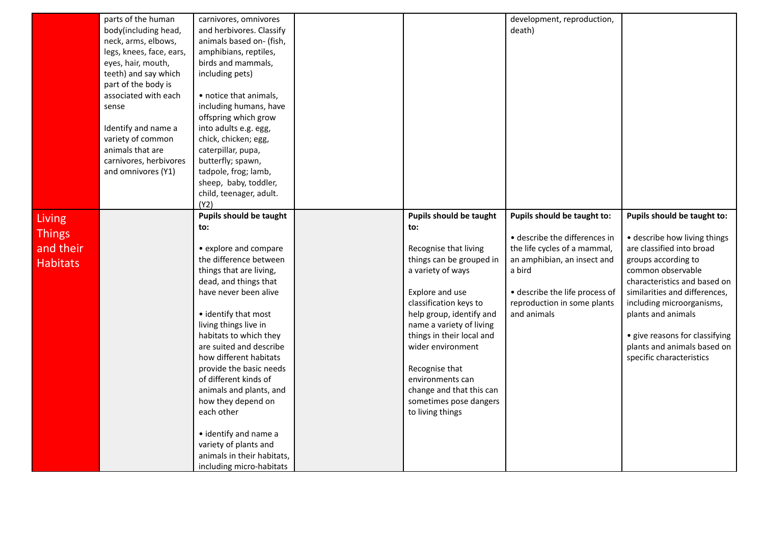|                                                         | parts of the human<br>body(including head,<br>neck, arms, elbows,<br>legs, knees, face, ears,<br>eyes, hair, mouth,<br>teeth) and say which<br>part of the body is<br>associated with each<br>sense<br>Identify and name a<br>variety of common<br>animals that are<br>carnivores, herbivores<br>and omnivores (Y1) | carnivores, omnivores<br>and herbivores. Classify<br>animals based on- (fish,<br>amphibians, reptiles,<br>birds and mammals,<br>including pets)<br>• notice that animals,<br>including humans, have<br>offspring which grow<br>into adults e.g. egg,<br>chick, chicken; egg,<br>caterpillar, pupa,<br>butterfly; spawn,<br>tadpole, frog; lamb,<br>sheep, baby, toddler,<br>child, teenager, adult.<br>(Y2)                                                                                                                   |                                                                                                                                                                                                                                                                                                                                                                                        | development, reproduction,<br>death)                                                                                                                                                                                  |                                                                                                                                                                                                                                                                                                                                                       |
|---------------------------------------------------------|---------------------------------------------------------------------------------------------------------------------------------------------------------------------------------------------------------------------------------------------------------------------------------------------------------------------|-------------------------------------------------------------------------------------------------------------------------------------------------------------------------------------------------------------------------------------------------------------------------------------------------------------------------------------------------------------------------------------------------------------------------------------------------------------------------------------------------------------------------------|----------------------------------------------------------------------------------------------------------------------------------------------------------------------------------------------------------------------------------------------------------------------------------------------------------------------------------------------------------------------------------------|-----------------------------------------------------------------------------------------------------------------------------------------------------------------------------------------------------------------------|-------------------------------------------------------------------------------------------------------------------------------------------------------------------------------------------------------------------------------------------------------------------------------------------------------------------------------------------------------|
| <b>Living</b><br>Things<br>and their<br><b>Habitats</b> |                                                                                                                                                                                                                                                                                                                     | Pupils should be taught<br>to:<br>• explore and compare<br>the difference between<br>things that are living,<br>dead, and things that<br>have never been alive<br>• identify that most<br>living things live in<br>habitats to which they<br>are suited and describe<br>how different habitats<br>provide the basic needs<br>of different kinds of<br>animals and plants, and<br>how they depend on<br>each other<br>• identify and name a<br>variety of plants and<br>animals in their habitats,<br>including micro-habitats | <b>Pupils should be taught</b><br>to:<br>Recognise that living<br>things can be grouped in<br>a variety of ways<br>Explore and use<br>classification keys to<br>help group, identify and<br>name a variety of living<br>things in their local and<br>wider environment<br>Recognise that<br>environments can<br>change and that this can<br>sometimes pose dangers<br>to living things | Pupils should be taught to:<br>· describe the differences in<br>the life cycles of a mammal,<br>an amphibian, an insect and<br>a bird<br>· describe the life process of<br>reproduction in some plants<br>and animals | Pupils should be taught to:<br>• describe how living things<br>are classified into broad<br>groups according to<br>common observable<br>characteristics and based on<br>similarities and differences,<br>including microorganisms,<br>plants and animals<br>• give reasons for classifying<br>plants and animals based on<br>specific characteristics |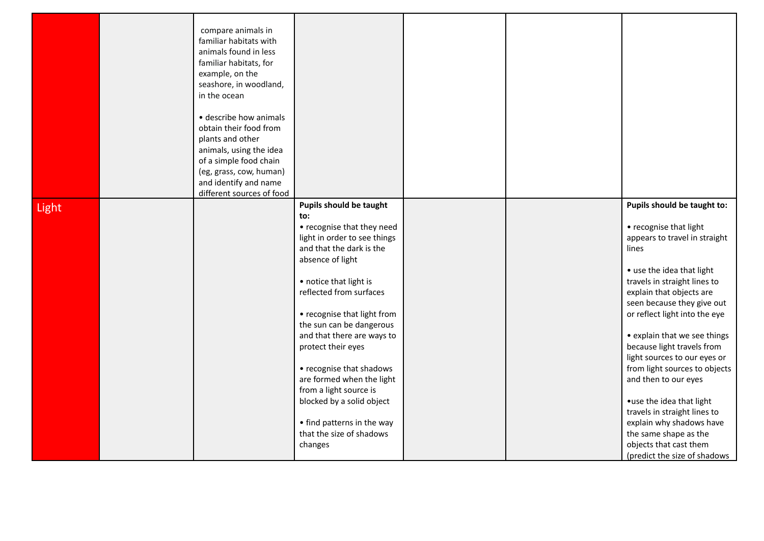|       | compare animals in<br>familiar habitats with<br>animals found in less<br>familiar habitats, for<br>example, on the<br>seashore, in woodland,<br>in the ocean<br>· describe how animals<br>obtain their food from<br>plants and other<br>animals, using the idea<br>of a simple food chain<br>(eg, grass, cow, human)<br>and identify and name |                                                                                                                                                                                                                                                                                                                                                                                                                                                                                                              |  |                                                                                                                                                                                                                                                                                                                                                                                                                                                                                                                                                                                            |
|-------|-----------------------------------------------------------------------------------------------------------------------------------------------------------------------------------------------------------------------------------------------------------------------------------------------------------------------------------------------|--------------------------------------------------------------------------------------------------------------------------------------------------------------------------------------------------------------------------------------------------------------------------------------------------------------------------------------------------------------------------------------------------------------------------------------------------------------------------------------------------------------|--|--------------------------------------------------------------------------------------------------------------------------------------------------------------------------------------------------------------------------------------------------------------------------------------------------------------------------------------------------------------------------------------------------------------------------------------------------------------------------------------------------------------------------------------------------------------------------------------------|
|       | different sources of food                                                                                                                                                                                                                                                                                                                     |                                                                                                                                                                                                                                                                                                                                                                                                                                                                                                              |  |                                                                                                                                                                                                                                                                                                                                                                                                                                                                                                                                                                                            |
| Light |                                                                                                                                                                                                                                                                                                                                               | <b>Pupils should be taught</b><br>to:<br>• recognise that they need<br>light in order to see things<br>and that the dark is the<br>absence of light<br>• notice that light is<br>reflected from surfaces<br>• recognise that light from<br>the sun can be dangerous<br>and that there are ways to<br>protect their eyes<br>• recognise that shadows<br>are formed when the light<br>from a light source is<br>blocked by a solid object<br>• find patterns in the way<br>that the size of shadows<br>changes |  | Pupils should be taught to:<br>• recognise that light<br>appears to travel in straight<br>lines<br>• use the idea that light<br>travels in straight lines to<br>explain that objects are<br>seen because they give out<br>or reflect light into the eye<br>• explain that we see things<br>because light travels from<br>light sources to our eyes or<br>from light sources to objects<br>and then to our eyes<br>• use the idea that light<br>travels in straight lines to<br>explain why shadows have<br>the same shape as the<br>objects that cast them<br>(predict the size of shadows |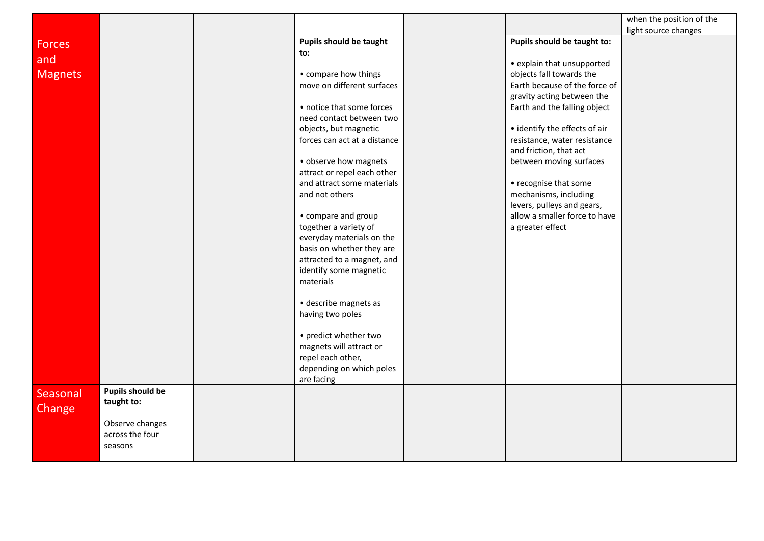|                |                         |                                     |                               | when the position of the |
|----------------|-------------------------|-------------------------------------|-------------------------------|--------------------------|
|                |                         |                                     |                               | light source changes     |
| <b>Forces</b>  |                         | Pupils should be taught             | Pupils should be taught to:   |                          |
|                |                         | to:                                 |                               |                          |
| and            |                         |                                     | • explain that unsupported    |                          |
| <b>Magnets</b> |                         | • compare how things                | objects fall towards the      |                          |
|                |                         | move on different surfaces          | Earth because of the force of |                          |
|                |                         |                                     | gravity acting between the    |                          |
|                |                         | • notice that some forces           | Earth and the falling object  |                          |
|                |                         | need contact between two            |                               |                          |
|                |                         | objects, but magnetic               | • identify the effects of air |                          |
|                |                         | forces can act at a distance        | resistance, water resistance  |                          |
|                |                         |                                     | and friction, that act        |                          |
|                |                         | · observe how magnets               | between moving surfaces       |                          |
|                |                         | attract or repel each other         |                               |                          |
|                |                         | and attract some materials          | • recognise that some         |                          |
|                |                         | and not others                      | mechanisms, including         |                          |
|                |                         |                                     | levers, pulleys and gears,    |                          |
|                |                         | • compare and group                 | allow a smaller force to have |                          |
|                |                         | together a variety of               | a greater effect              |                          |
|                |                         | everyday materials on the           |                               |                          |
|                |                         | basis on whether they are           |                               |                          |
|                |                         | attracted to a magnet, and          |                               |                          |
|                |                         | identify some magnetic<br>materials |                               |                          |
|                |                         |                                     |                               |                          |
|                |                         | · describe magnets as               |                               |                          |
|                |                         | having two poles                    |                               |                          |
|                |                         |                                     |                               |                          |
|                |                         | • predict whether two               |                               |                          |
|                |                         | magnets will attract or             |                               |                          |
|                |                         | repel each other,                   |                               |                          |
|                |                         | depending on which poles            |                               |                          |
|                |                         | are facing                          |                               |                          |
| Seasonal       | <b>Pupils should be</b> |                                     |                               |                          |
|                | taught to:              |                                     |                               |                          |
| Change         |                         |                                     |                               |                          |
|                | Observe changes         |                                     |                               |                          |
|                | across the four         |                                     |                               |                          |
|                | seasons                 |                                     |                               |                          |
|                |                         |                                     |                               |                          |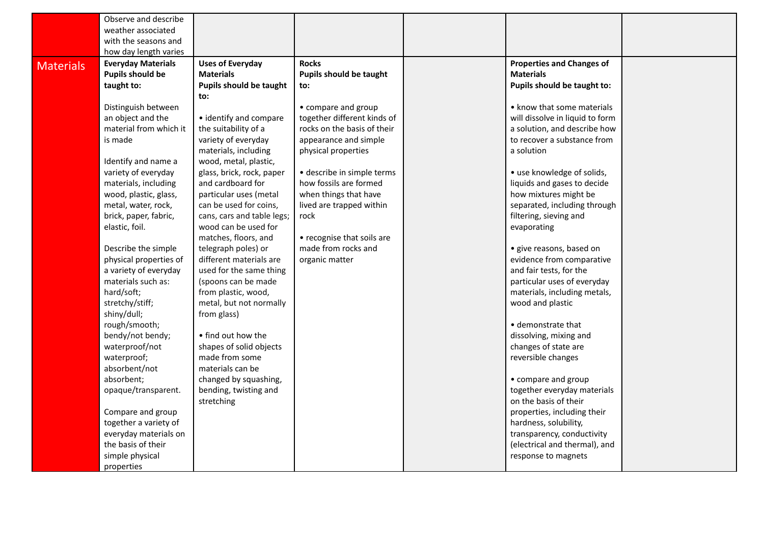|                  | Observe and describe           |                                        |                             |                                  |  |
|------------------|--------------------------------|----------------------------------------|-----------------------------|----------------------------------|--|
|                  | weather associated             |                                        |                             |                                  |  |
|                  | with the seasons and           |                                        |                             |                                  |  |
|                  | how day length varies          |                                        |                             |                                  |  |
| <b>Materials</b> | <b>Everyday Materials</b>      | <b>Uses of Everyday</b>                | <b>Rocks</b>                | <b>Properties and Changes of</b> |  |
|                  | <b>Pupils should be</b>        | <b>Materials</b>                       | Pupils should be taught     | <b>Materials</b>                 |  |
|                  | taught to:                     | <b>Pupils should be taught</b>         | to:                         | Pupils should be taught to:      |  |
|                  |                                | to:                                    |                             |                                  |  |
|                  | Distinguish between            |                                        | • compare and group         | • know that some materials       |  |
|                  | an object and the              | • identify and compare                 | together different kinds of | will dissolve in liquid to form  |  |
|                  | material from which it         | the suitability of a                   | rocks on the basis of their | a solution, and describe how     |  |
|                  | is made                        | variety of everyday                    | appearance and simple       | to recover a substance from      |  |
|                  |                                | materials, including                   | physical properties         | a solution                       |  |
|                  | Identify and name a            | wood, metal, plastic,                  |                             |                                  |  |
|                  | variety of everyday            | glass, brick, rock, paper              | · describe in simple terms  | • use knowledge of solids,       |  |
|                  | materials, including           | and cardboard for                      | how fossils are formed      | liquids and gases to decide      |  |
|                  | wood, plastic, glass,          | particular uses (metal                 | when things that have       | how mixtures might be            |  |
|                  | metal, water, rock,            | can be used for coins,                 | lived are trapped within    | separated, including through     |  |
|                  | brick, paper, fabric,          | cans, cars and table legs;             | rock                        | filtering, sieving and           |  |
|                  | elastic, foil.                 | wood can be used for                   |                             | evaporating                      |  |
|                  |                                | matches, floors, and                   | • recognise that soils are  |                                  |  |
|                  | Describe the simple            | telegraph poles) or                    | made from rocks and         | · give reasons, based on         |  |
|                  | physical properties of         | different materials are                | organic matter              | evidence from comparative        |  |
|                  | a variety of everyday          | used for the same thing                |                             | and fair tests, for the          |  |
|                  | materials such as:             | (spoons can be made                    |                             | particular uses of everyday      |  |
|                  | hard/soft;                     | from plastic, wood,                    |                             | materials, including metals,     |  |
|                  | stretchy/stiff;<br>shiny/dull; | metal, but not normally<br>from glass) |                             | wood and plastic                 |  |
|                  | rough/smooth;                  |                                        |                             | · demonstrate that               |  |
|                  | bendy/not bendy;               | • find out how the                     |                             | dissolving, mixing and           |  |
|                  | waterproof/not                 | shapes of solid objects                |                             | changes of state are             |  |
|                  | waterproof;                    | made from some                         |                             | reversible changes               |  |
|                  | absorbent/not                  | materials can be                       |                             |                                  |  |
|                  | absorbent;                     | changed by squashing,                  |                             | • compare and group              |  |
|                  | opaque/transparent.            | bending, twisting and                  |                             | together everyday materials      |  |
|                  |                                | stretching                             |                             | on the basis of their            |  |
|                  | Compare and group              |                                        |                             | properties, including their      |  |
|                  | together a variety of          |                                        |                             | hardness, solubility,            |  |
|                  | everyday materials on          |                                        |                             | transparency, conductivity       |  |
|                  | the basis of their             |                                        |                             | (electrical and thermal), and    |  |
|                  | simple physical                |                                        |                             | response to magnets              |  |
|                  | properties                     |                                        |                             |                                  |  |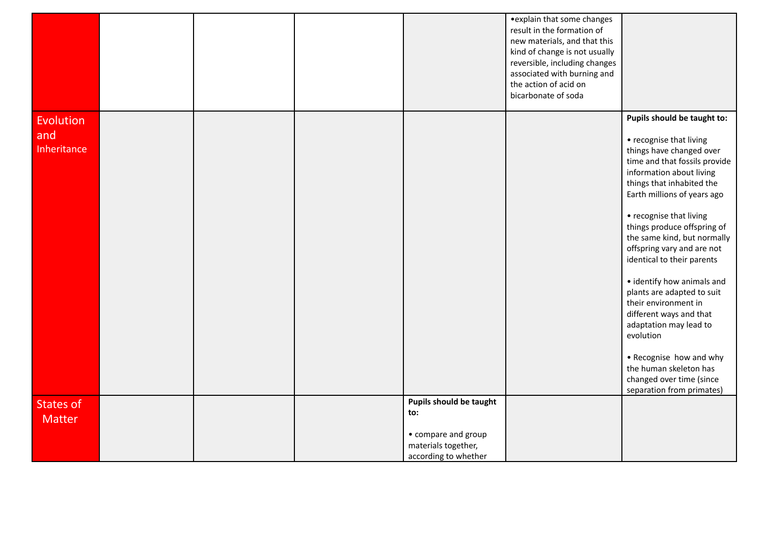|                                   |  |                                                                                                      | • explain that some changes<br>result in the formation of<br>new materials, and that this<br>kind of change is not usually<br>reversible, including changes<br>associated with burning and<br>the action of acid on<br>bicarbonate of soda |                                                                                                                                                                                                                                                                                                                                                                                                                                                                                                                                                                                                         |
|-----------------------------------|--|------------------------------------------------------------------------------------------------------|--------------------------------------------------------------------------------------------------------------------------------------------------------------------------------------------------------------------------------------------|---------------------------------------------------------------------------------------------------------------------------------------------------------------------------------------------------------------------------------------------------------------------------------------------------------------------------------------------------------------------------------------------------------------------------------------------------------------------------------------------------------------------------------------------------------------------------------------------------------|
| Evolution<br>and<br>Inheritance   |  |                                                                                                      |                                                                                                                                                                                                                                            | Pupils should be taught to:<br>• recognise that living<br>things have changed over<br>time and that fossils provide<br>information about living<br>things that inhabited the<br>Earth millions of years ago<br>• recognise that living<br>things produce offspring of<br>the same kind, but normally<br>offspring vary and are not<br>identical to their parents<br>• identify how animals and<br>plants are adapted to suit<br>their environment in<br>different ways and that<br>adaptation may lead to<br>evolution<br>• Recognise how and why<br>the human skeleton has<br>changed over time (since |
| <b>States of</b><br><b>Matter</b> |  | Pupils should be taught<br>to:<br>• compare and group<br>materials together,<br>according to whether |                                                                                                                                                                                                                                            | separation from primates)                                                                                                                                                                                                                                                                                                                                                                                                                                                                                                                                                                               |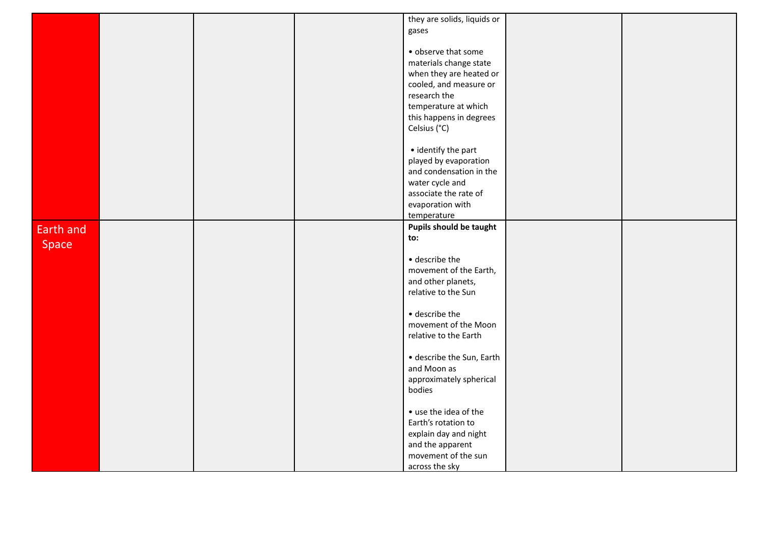|           |  | they are solids, liquids or |  |
|-----------|--|-----------------------------|--|
|           |  | gases                       |  |
|           |  |                             |  |
|           |  |                             |  |
|           |  | • observe that some         |  |
|           |  | materials change state      |  |
|           |  | when they are heated or     |  |
|           |  | cooled, and measure or      |  |
|           |  | research the                |  |
|           |  | temperature at which        |  |
|           |  | this happens in degrees     |  |
|           |  | Celsius (°C)                |  |
|           |  |                             |  |
|           |  | • identify the part         |  |
|           |  | played by evaporation       |  |
|           |  | and condensation in the     |  |
|           |  | water cycle and             |  |
|           |  | associate the rate of       |  |
|           |  | evaporation with            |  |
|           |  |                             |  |
|           |  | temperature                 |  |
| Earth and |  | Pupils should be taught     |  |
| Space     |  | to:                         |  |
|           |  |                             |  |
|           |  | · describe the              |  |
|           |  | movement of the Earth,      |  |
|           |  | and other planets,          |  |
|           |  | relative to the Sun         |  |
|           |  |                             |  |
|           |  | · describe the              |  |
|           |  | movement of the Moon        |  |
|           |  | relative to the Earth       |  |
|           |  |                             |  |
|           |  | · describe the Sun, Earth   |  |
|           |  | and Moon as                 |  |
|           |  | approximately spherical     |  |
|           |  | bodies                      |  |
|           |  |                             |  |
|           |  | • use the idea of the       |  |
|           |  | Earth's rotation to         |  |
|           |  | explain day and night       |  |
|           |  | and the apparent            |  |
|           |  | movement of the sun         |  |
|           |  | across the sky              |  |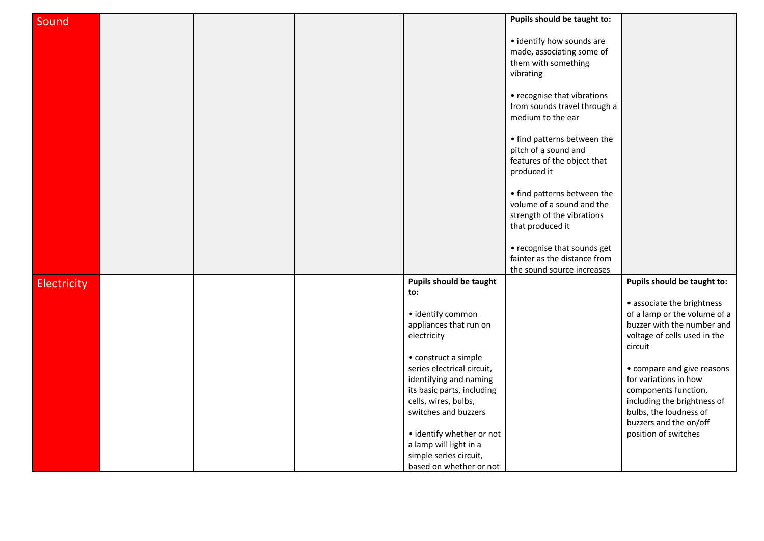| Sound              |  |                            | Pupils should be taught to:  |                                         |
|--------------------|--|----------------------------|------------------------------|-----------------------------------------|
|                    |  |                            |                              |                                         |
|                    |  |                            | • identify how sounds are    |                                         |
|                    |  |                            | made, associating some of    |                                         |
|                    |  |                            | them with something          |                                         |
|                    |  |                            | vibrating                    |                                         |
|                    |  |                            |                              |                                         |
|                    |  |                            | • recognise that vibrations  |                                         |
|                    |  |                            | from sounds travel through a |                                         |
|                    |  |                            | medium to the ear            |                                         |
|                    |  |                            | • find patterns between the  |                                         |
|                    |  |                            | pitch of a sound and         |                                         |
|                    |  |                            | features of the object that  |                                         |
|                    |  |                            | produced it                  |                                         |
|                    |  |                            | • find patterns between the  |                                         |
|                    |  |                            | volume of a sound and the    |                                         |
|                    |  |                            | strength of the vibrations   |                                         |
|                    |  |                            | that produced it             |                                         |
|                    |  |                            |                              |                                         |
|                    |  |                            | • recognise that sounds get  |                                         |
|                    |  |                            | fainter as the distance from |                                         |
|                    |  |                            | the sound source increases   |                                         |
| <b>Electricity</b> |  | Pupils should be taught    |                              | Pupils should be taught to:             |
|                    |  | to:                        |                              |                                         |
|                    |  |                            |                              | • associate the brightness              |
|                    |  | · identify common          |                              | of a lamp or the volume of a            |
|                    |  | appliances that run on     |                              | buzzer with the number and              |
|                    |  | electricity                |                              | voltage of cells used in the<br>circuit |
|                    |  | • construct a simple       |                              |                                         |
|                    |  | series electrical circuit, |                              | • compare and give reasons              |
|                    |  | identifying and naming     |                              | for variations in how                   |
|                    |  | its basic parts, including |                              | components function,                    |
|                    |  | cells, wires, bulbs,       |                              | including the brightness of             |
|                    |  | switches and buzzers       |                              | bulbs, the loudness of                  |
|                    |  |                            |                              | buzzers and the on/off                  |
|                    |  | • identify whether or not  |                              | position of switches                    |
|                    |  | a lamp will light in a     |                              |                                         |
|                    |  | simple series circuit,     |                              |                                         |
|                    |  | based on whether or not    |                              |                                         |